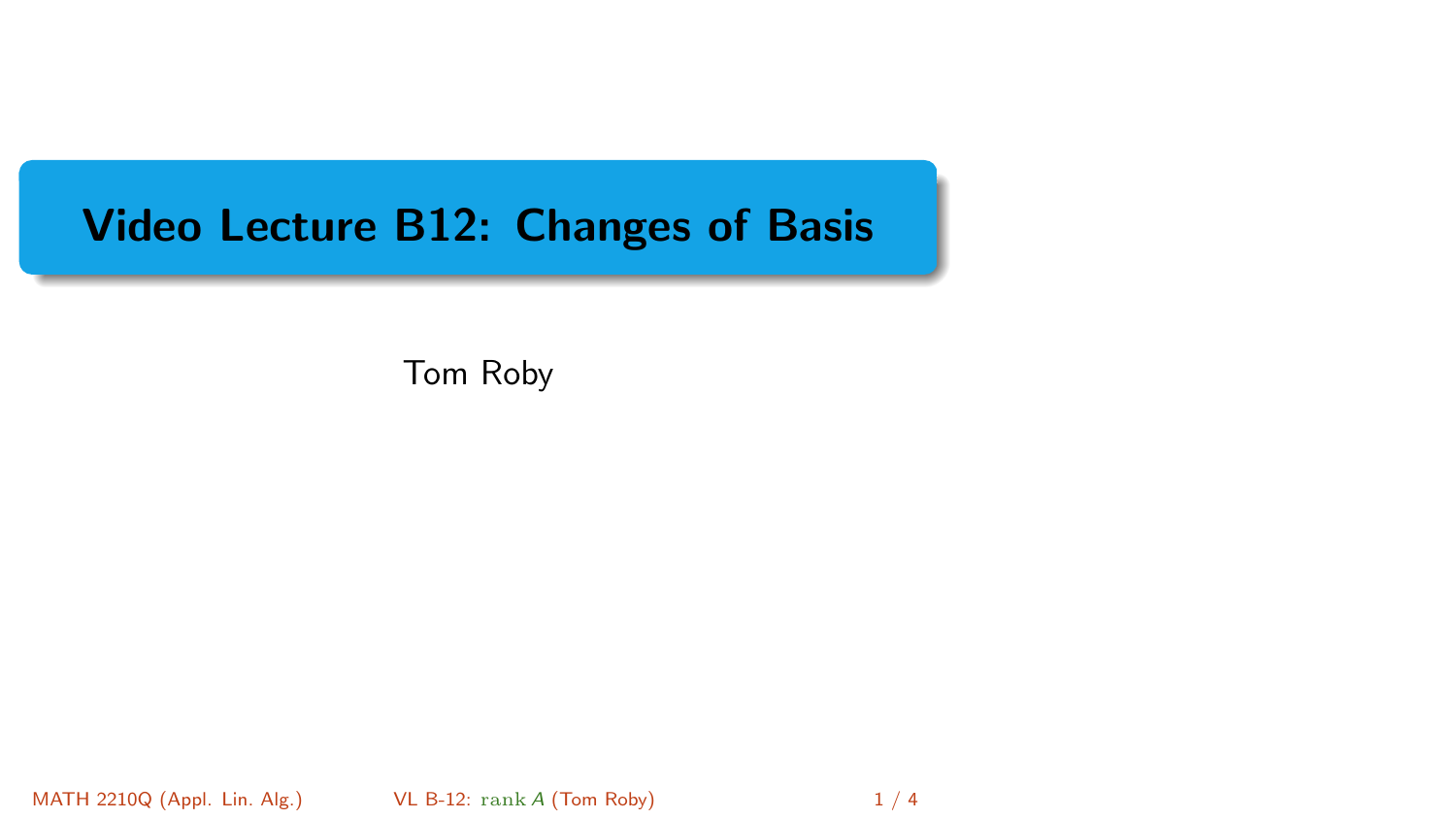## <span id="page-0-0"></span>Video Lecture B12: Changes of Basis

Tom Roby

MATH 2210Q (Appl. Lin. Alg.) [VL B-12:](#page-3-0) rank A (Tom Roby) 1 / 4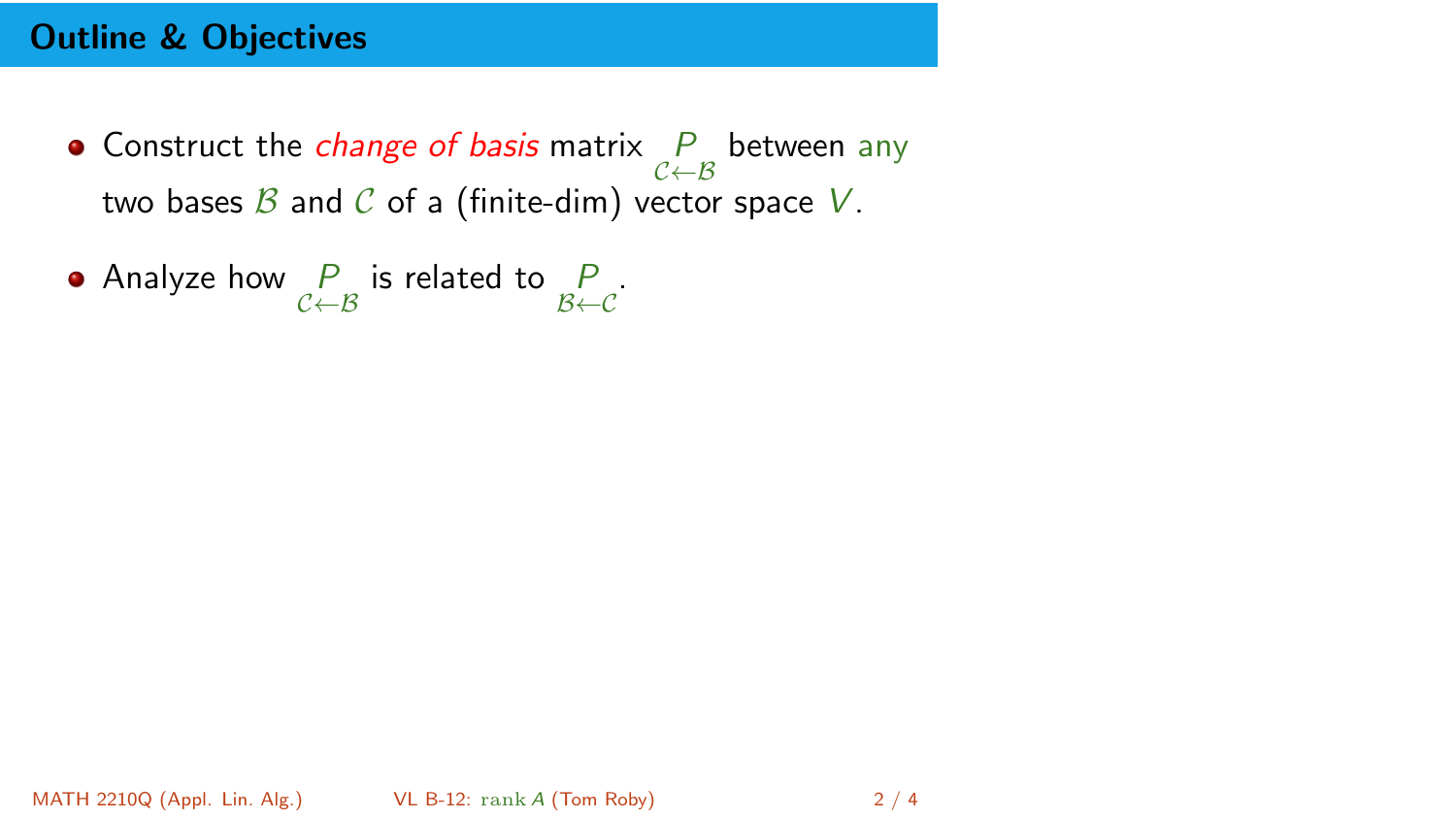## Outline & Objectives

- Construct the *change of basis* matrix  $\mathop{P}\limits_{\mathcal{C}\leftarrow\mathcal{B}}$  between any two bases  $\beta$  and  $\beta$  of a (finite-dim) vector space V.
- Analyze how  $\frac{P}{C \leftarrow B}$  is related to  $\frac{P}{B \leftarrow C}$ .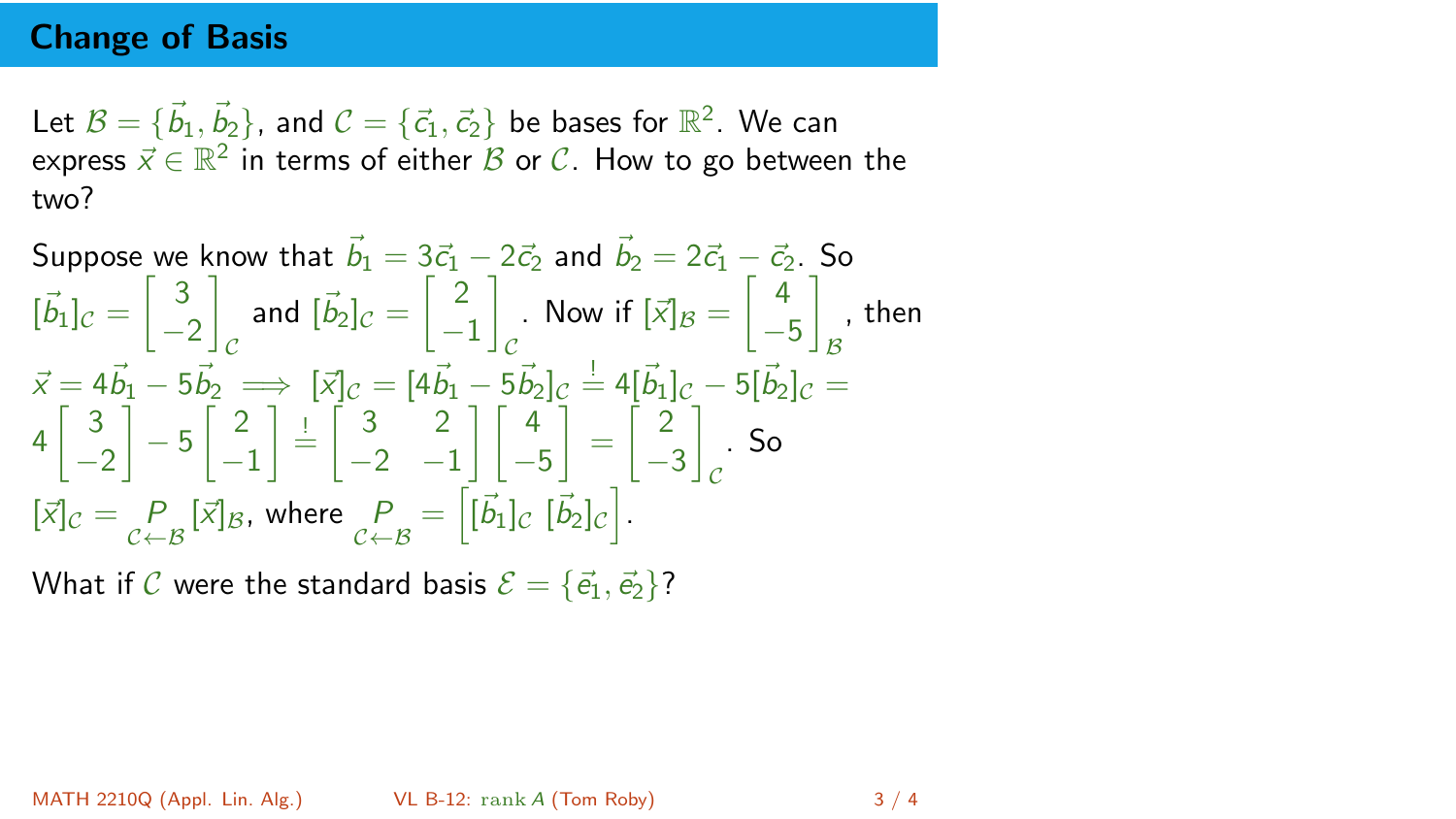## Change of Basis

Let  $\mathcal{B}=\{\vec{b}_1,\vec{b}_2\}$ , and  $\mathcal{C}=\{\vec{c}_1,\vec{c}_2\}$  be bases for  $\mathbb{R}^2.$  We can express  $\vec{x} \in \mathbb{R}^2$  in terms of either  $\mathcal B$  or  $\mathcal C.$  How to go between the two?

Suppose we know that 
$$
\vec{b}_1 = 3\vec{c}_1 - 2\vec{c}_2
$$
 and  $\vec{b}_2 = 2\vec{c}_1 - \vec{c}_2$ . So  
\n $[\vec{b}_1]_C = \begin{bmatrix} 3 \\ -2 \end{bmatrix}_C$  and  $[\vec{b}_2]_C = \begin{bmatrix} 2 \\ -1 \end{bmatrix}_C$ . Now if  $[\vec{x}]_B = \begin{bmatrix} 4 \\ -5 \end{bmatrix}_B$ , then  
\n $\vec{x} = 4\vec{b}_1 - 5\vec{b}_2 \implies [\vec{x}]_C = [4\vec{b}_1 - 5\vec{b}_2]_C = 4[\vec{b}_1]_C - 5[\vec{b}_2]_C = 4\begin{bmatrix} 3 \\ -2 \end{bmatrix} - 5\begin{bmatrix} 2 \\ -1 \end{bmatrix} = \begin{bmatrix} 3 & 2 \\ -2 & -1 \end{bmatrix} \begin{bmatrix} 4 \\ -5 \end{bmatrix} = \begin{bmatrix} 2 \\ -3 \end{bmatrix}_C$ . So  
\n $[\vec{x}]_C = \begin{bmatrix} P \\ P \\ B \end{bmatrix}_B$ , where  $\begin{bmatrix} P \\ P \\ C \end{bmatrix}_B = [\vec{b}_1]_C [\vec{b}_2]_C$ .

What if C were the standard basis  $\mathcal{E} = {\vec{e_1}, \vec{e_2}}$ ?